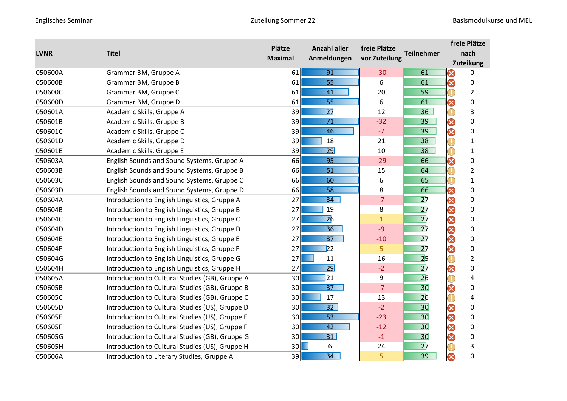| <b>LVNR</b> | <b>Titel</b>                                    | Plätze          | <b>Anzahl aller</b><br>Anmeldungen | freie Plätze  |                   | freie Plätze<br>nach |                  |  |
|-------------|-------------------------------------------------|-----------------|------------------------------------|---------------|-------------------|----------------------|------------------|--|
|             |                                                 | <b>Maximal</b>  |                                    | vor Zuteilung | <b>Teilnehmer</b> |                      |                  |  |
|             |                                                 |                 |                                    |               |                   |                      | <b>Zuteikung</b> |  |
| 050600A     | Grammar BM, Gruppe A                            | 61              | 91                                 | $-30$         | 61                | 0                    | 0                |  |
| 050600B     | Grammar BM, Gruppe B                            | 61              | 55                                 | 6             | 61                | 0                    | 0                |  |
| 050600C     | Grammar BM, Gruppe C                            | 61              | 41                                 | 20            | 59                |                      | $\overline{2}$   |  |
| 050600D     | Grammar BM, Gruppe D                            | 61              | 55                                 | 6             | 61                | Ø                    | 0                |  |
| 050601A     | Academic Skills, Gruppe A                       | 39              | $\overline{27}$                    | 12            | 36                | O                    | 3                |  |
| 050601B     | Academic Skills, Gruppe B                       | 39              | 71                                 | $-32$         | 39                | 3                    | $\pmb{0}$        |  |
| 050601C     | Academic Skills, Gruppe C                       | 39              | 46                                 | $-7$          | 39                | 0                    | $\pmb{0}$        |  |
| 050601D     | Academic Skills, Gruppe D                       | 39              | 18                                 | 21            | 38                | $\mathbb T$          | $\mathbf{1}$     |  |
| 050601E     | Academic Skills, Gruppe E                       | 39              | 29                                 | 10            | 38                | Œ                    | $\mathbf{1}$     |  |
| 050603A     | English Sounds and Sound Systems, Gruppe A      | 66              | 95                                 | $-29$         | 66                | Ø                    | $\pmb{0}$        |  |
| 050603B     | English Sounds and Sound Systems, Gruppe B      | 66              | 51                                 | 15            | 64                |                      | $\overline{2}$   |  |
| 050603C     | English Sounds and Sound Systems, Gruppe C      | 66              | 60                                 | 6             | 65                |                      | $\mathbf{1}$     |  |
| 050603D     | English Sounds and Sound Systems, Gruppe D      | 66              | 58                                 | 8             | 66                | 0                    | 0                |  |
| 050604A     | Introduction to English Linguistics, Gruppe A   | 27              | 34                                 | $-7$          | 27                | 0                    | 0                |  |
| 050604B     | Introduction to English Linguistics, Gruppe B   | 27              | 19                                 | 8             | 27                | 0                    | 0                |  |
| 050604C     | Introduction to English Linguistics, Gruppe C   | 27              | $\overline{26}$                    | $\mathbf 1$   | $\overline{27}$   | 3                    | 0                |  |
| 050604D     | Introduction to English Linguistics, Gruppe D   | 27              | 36                                 | $-9$          | 27                | 3                    | $\mathbf 0$      |  |
| 050604E     | Introduction to English Linguistics, Gruppe E   | 27              | 37                                 | $-10$         | $\overline{27}$   | 3                    | $\pmb{0}$        |  |
| 050604F     | Introduction to English Linguistics, Gruppe F   | 27              | $\overline{22}$                    | 5             | $\overline{27}$   | 3                    | $\pmb{0}$        |  |
| 050604G     | Introduction to English Linguistics, Gruppe G   | 27              | 11                                 | 16            | $\overline{2}5$   | O                    | $\overline{2}$   |  |
| 050604H     | Introduction to English Linguistics, Gruppe H   | 27              | 29                                 | $-2$          | $\overline{27}$   | 3                    | 0                |  |
| 050605A     | Introduction to Cultural Studies (GB), Gruppe A | 30 <sup>1</sup> | 21                                 | 9             | $\overline{26}$   | $\mathbb O$          | $\overline{4}$   |  |
| 050605B     | Introduction to Cultural Studies (GB), Gruppe B | 30              | $\overline{37}$                    | $-7$          | 30                | 0                    | $\pmb{0}$        |  |
| 050605C     | Introduction to Cultural Studies (GB), Gruppe C | 30              | 17                                 | 13            | $\overline{26}$   | $\mathbb C$          | 4                |  |
| 050605D     | Introduction to Cultural Studies (US), Gruppe D | 30              | 32                                 | $-2$          | 30                | 0                    | 0                |  |
| 050605E     | Introduction to Cultural Studies (US), Gruppe E | 30              | 53                                 | $-23$         | 30                | 3                    | 0                |  |
| 050605F     | Introduction to Cultural Studies (US), Gruppe F | 30 <sup>1</sup> | 42                                 | $-12$         | 30                | 3                    | 0                |  |
| 050605G     | Introduction to Cultural Studies (GB), Gruppe G | 30              | 31                                 | $-1$          | 30                | 0                    | $\pmb{0}$        |  |
| 050605H     | Introduction to Cultural Studies (US), Gruppe H | 30              | 6                                  | 24            | 27                | Œ                    | 3                |  |
| 050606A     | Introduction to Literary Studies, Gruppe A      | 39              | $\overline{34}$                    | 5             | 39                | ⊗                    | 0                |  |